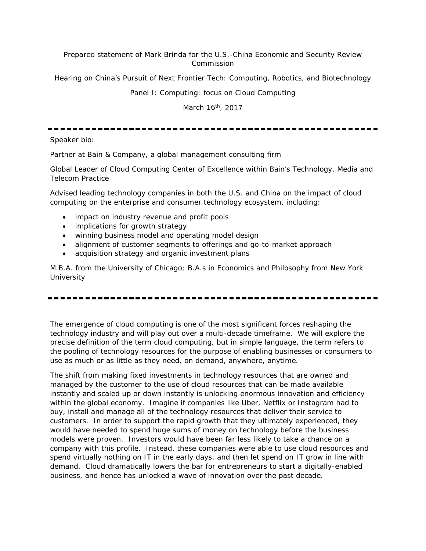## Prepared statement of Mark Brinda for the U.S.-China Economic and Security Review Commission

Hearing on China's Pursuit of Next Frontier Tech: Computing, Robotics, and Biotechnology

Panel I: Computing: focus on Cloud Computing

March 16<sup>th</sup>, 2017

Speaker bio:

Partner at Bain & Company, a global management consulting firm

Global Leader of Cloud Computing Center of Excellence within Bain's Technology, Media and Telecom Practice

Advised leading technology companies in both the U.S. and China on the impact of cloud computing on the enterprise and consumer technology ecosystem, including:

- impact on industry revenue and profit pools
- implications for growth strategy
- winning business model and operating model design
- alignment of customer segments to offerings and go-to-market approach
- acquisition strategy and organic investment plans

M.B.A. from the University of Chicago; B.A.s in Economics and Philosophy from New York **University** 

The emergence of cloud computing is one of the most significant forces reshaping the technology industry and will play out over a multi-decade timeframe. We will explore the precise definition of the term *cloud computing*, but in simple language, the term refers to the pooling of technology resources for the purpose of enabling businesses or consumers to use as much or as little as they need, on demand, anywhere, anytime.

The shift from making fixed investments in technology resources that are owned and managed by the customer to the use of cloud resources that can be made available instantly and scaled up or down instantly is unlocking enormous innovation and efficiency within the global economy. Imagine if companies like Uber, Netflix or Instagram had to buy, install and manage all of the technology resources that deliver their service to customers. In order to support the rapid growth that they ultimately experienced, they would have needed to spend huge sums of money on technology before the business models were proven. Investors would have been far less likely to take a chance on a company with this profile. Instead, these companies were able to use cloud resources and spend virtually nothing on IT in the early days, and then let spend on IT grow in line with demand. Cloud dramatically lowers the bar for entrepreneurs to start a digitally-enabled business, and hence has unlocked a wave of innovation over the past decade.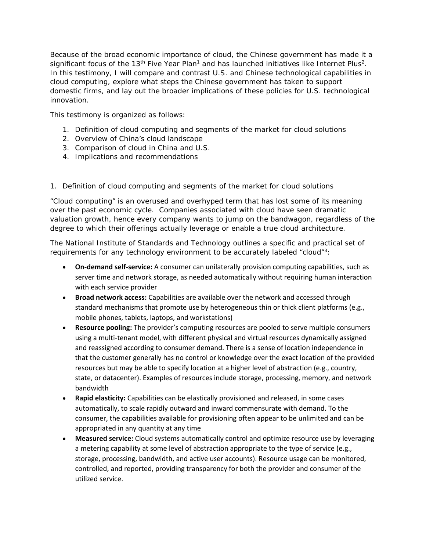Because of the broad economic importance of cloud, the Chinese government has made it a significant focus of the 13<sup>th</sup> Five Year Plan<sup>1</sup> and has launched initiatives like Internet Plus<sup>2</sup>. In this testimony, I will compare and contrast U.S. and Chinese technological capabilities in cloud computing, explore what steps the Chinese government has taken to support domestic firms, and lay out the broader implications of these policies for U.S. technological innovation.

This testimony is organized as follows:

- 1. Definition of cloud computing and segments of the market for cloud solutions
- 2. Overview of China's cloud landscape
- 3. Comparison of cloud in China and U.S.
- 4. Implications and recommendations

1. Definition of cloud computing and segments of the market for cloud solutions

"Cloud computing" is an overused and overhyped term that has lost some of its meaning over the past economic cycle. Companies associated with cloud have seen dramatic valuation growth, hence every company wants to jump on the bandwagon, regardless of the degree to which their offerings actually leverage or enable a true cloud architecture.

The National Institute of Standards and Technology outlines a specific and practical set of requirements for any technology environment to be accurately labeled "cloud"3:

- **On-demand self-service:** A consumer can unilaterally provision computing capabilities, such as server time and network storage, as needed automatically without requiring human interaction with each service provider
- **Broad network access:** Capabilities are available over the network and accessed through standard mechanisms that promote use by heterogeneous thin or thick client platforms (e.g., mobile phones, tablets, laptops, and workstations)
- **Resource pooling:** The provider's computing resources are pooled to serve multiple consumers using a multi-tenant model, with different physical and virtual resources dynamically assigned and reassigned according to consumer demand. There is a sense of location independence in that the customer generally has no control or knowledge over the exact location of the provided resources but may be able to specify location at a higher level of abstraction (e.g., country, state, or datacenter). Examples of resources include storage, processing, memory, and network bandwidth
- **Rapid elasticity:** Capabilities can be elastically provisioned and released, in some cases automatically, to scale rapidly outward and inward commensurate with demand. To the consumer, the capabilities available for provisioning often appear to be unlimited and can be appropriated in any quantity at any time
- **Measured service:** Cloud systems automatically control and optimize resource use by leveraging a metering capability at some level of abstraction appropriate to the type of service (e.g., storage, processing, bandwidth, and active user accounts). Resource usage can be monitored, controlled, and reported, providing transparency for both the provider and consumer of the utilized service.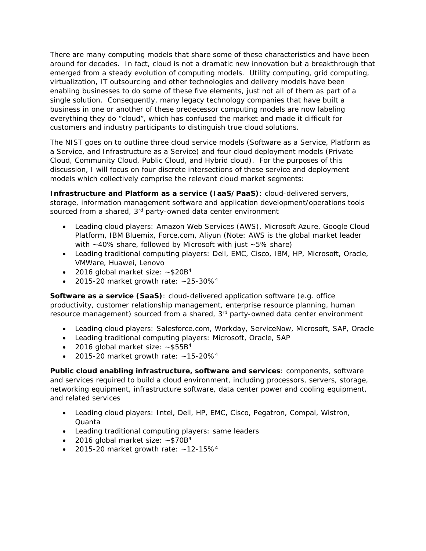There are many computing models that share some of these characteristics and have been around for decades. In fact, cloud is not a dramatic new innovation but a breakthrough that emerged from a steady evolution of computing models. Utility computing, grid computing, virtualization, IT outsourcing and other technologies and delivery models have been enabling businesses to do some of these five elements, just not all of them as part of a single solution. Consequently, many legacy technology companies that have built a business in one or another of these predecessor computing models are now labeling everything they do "cloud", which has confused the market and made it difficult for customers and industry participants to distinguish true cloud solutions.

The NIST goes on to outline three cloud service models (Software as a Service, Platform as a Service, and Infrastructure as a Service) and four cloud deployment models (Private Cloud, Community Cloud, Public Cloud, and Hybrid cloud). For the purposes of this discussion, I will focus on four discrete intersections of these service and deployment models which collectively comprise the relevant cloud market segments:

**Infrastructure and Platform as a service (IaaS/PaaS)**: cloud-delivered servers, storage, information management software and application development/operations tools sourced from a shared, 3<sup>rd</sup> party-owned data center environment

- Leading cloud players: Amazon Web Services (AWS), Microsoft Azure, Google Cloud Platform, IBM Bluemix, Force.com, Aliyun (Note: AWS is the global market leader with  $~10\%$  share, followed by Microsoft with just  $~5\%$  share)
- Leading traditional computing players: Dell, EMC, Cisco, IBM, HP, Microsoft, Oracle, VMWare, Huawei, Lenovo
- 2016 global market size:  $~520B<sup>4</sup>$
- 2015-20 market growth rate:  $~25-30\%<sup>4</sup>$

**Software as a service (SaaS)**: cloud-delivered application software (e.g. office productivity, customer relationship management, enterprise resource planning, human resource management) sourced from a shared, 3<sup>rd</sup> party-owned data center environment

- Leading cloud players: Salesforce.com, Workday, ServiceNow, Microsoft, SAP, Oracle
- Leading traditional computing players: Microsoft, Oracle, SAP
- 2016 global market size:  $\sim$ \$55B<sup>4</sup>
- 2015-20 market growth rate:  $~15-20\%<sup>4</sup>$

**Public cloud enabling infrastructure, software and services**: components, software and services required to build a cloud environment, including processors, servers, storage, networking equipment, infrastructure software, data center power and cooling equipment, and related services

- Leading cloud players: Intel, Dell, HP, EMC, Cisco, Pegatron, Compal, Wistron, Quanta
- Leading traditional computing players: same leaders
- 2016 global market size:  $\sim$ \$70B<sup>4</sup>
- 2015-20 market growth rate:  $~12-15\%<sup>4</sup>$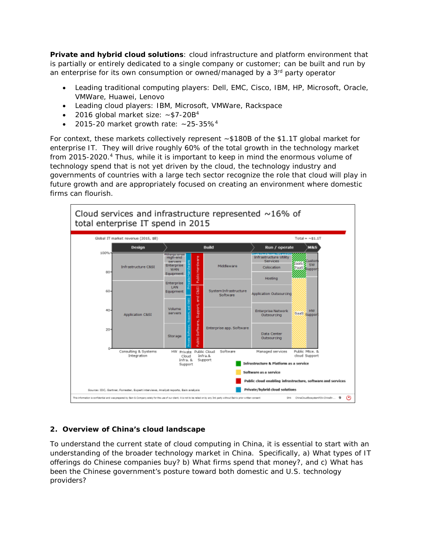**Private and hybrid cloud solutions**: cloud infrastructure and platform environment that is partially or entirely dedicated to a single company or customer; can be built and run by an enterprise for its own consumption or owned/managed by a 3<sup>rd</sup> party operator

- Leading traditional computing players: Dell, EMC, Cisco, IBM, HP, Microsoft, Oracle, VMWare, Huawei, Lenovo
- Leading cloud players: IBM, Microsoft, VMWare, Rackspace
- 2016 global market size:  $\sim$ \$7-20B<sup>4</sup>
- 2015-20 market growth rate:  $\sim$ 25-35%<sup>4</sup>

For context, these markets collectively represent ~\$180B of the \$1.1T global market for enterprise IT. They will drive roughly 60% of the total growth in the technology market from 2015-2020.<sup>4</sup> Thus, while it is important to keep in mind the enormous volume of technology spend that is not yet driven by the cloud, the technology industry and governments of countries with a large tech sector recognize the role that cloud will play in future growth and are appropriately focused on creating an environment where domestic firms can flourish.



## **2. Overview of China's cloud landscape**

To understand the current state of cloud computing in China, it is essential to start with an understanding of the broader technology market in China. Specifically, a) What types of IT offerings do Chinese companies buy? b) What firms spend that money?, and c) What has been the Chinese government's posture toward both domestic and U.S. technology providers?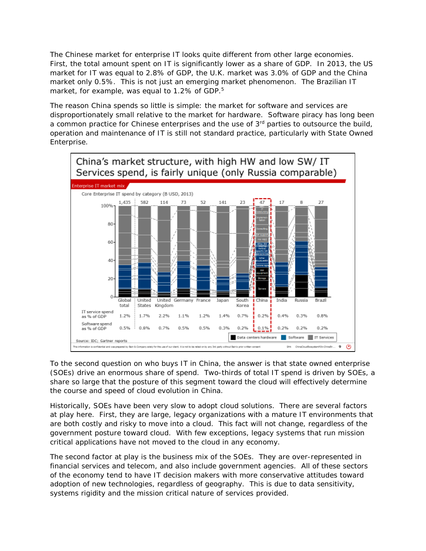The Chinese market for enterprise IT looks quite different from other large economies. First, the total amount spent on IT is significantly lower as a share of GDP. In 2013, the US market for IT was equal to 2.8% of GDP, the U.K. market was 3.0% of GDP and the China market only 0.5%. This is not just an emerging market phenomenon. The Brazilian IT market, for example, was equal to 1.2% of GDP.<sup>5</sup>

The reason China spends so little is simple: the market for software and services are disproportionately small relative to the market for hardware. Software piracy has long been a common practice for Chinese enterprises and the use of 3<sup>rd</sup> parties to outsource the build, operation and maintenance of IT is still not standard practice, particularly with State Owned Enterprise.



To the second question on who buys IT in China, the answer is that state owned enterprise (SOEs) drive an enormous share of spend. Two-thirds of total IT spend is driven by SOEs, a share so large that the posture of this segment toward the cloud will effectively determine the course and speed of cloud evolution in China.

Historically, SOEs have been very slow to adopt cloud solutions. There are several factors at play here. First, they are large, legacy organizations with a mature IT environments that are both costly and risky to move into a cloud. This fact will not change, regardless of the government posture toward cloud. With few exceptions, legacy systems that run mission critical applications have not moved to the cloud in any economy.

The second factor at play is the business mix of the SOEs. They are over-represented in financial services and telecom, and also include government agencies. All of these sectors of the economy tend to have IT decision makers with more conservative attitudes toward adoption of new technologies, regardless of geography. This is due to data sensitivity, systems rigidity and the mission critical nature of services provided.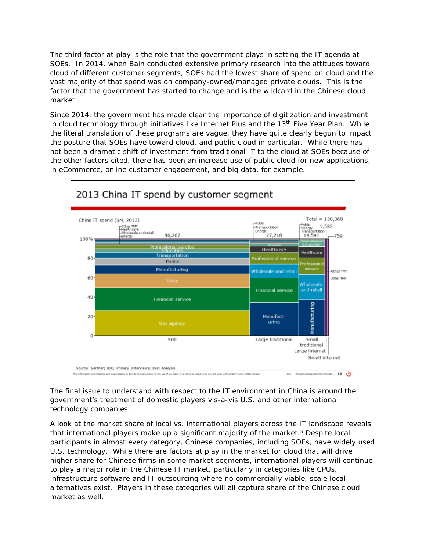The third factor at play is the role that the government plays in setting the IT agenda at SOEs. In 2014, when Bain conducted extensive primary research into the attitudes toward cloud of different customer segments, SOEs had the lowest share of spend on cloud and the vast majority of that spend was on company-owned/managed private clouds. This is the factor that the government has started to change and is the wildcard in the Chinese cloud market.

Since 2014, the government has made clear the importance of digitization and investment in cloud technology through initiatives like Internet Plus and the 13<sup>th</sup> Five Year Plan. While the literal translation of these programs are vague, they have quite clearly begun to impact the posture that SOEs have toward cloud, and public cloud in particular. While there has not been a dramatic shift of investment from traditional IT to the cloud at SOEs because of the other factors cited, there has been an increase use of public cloud for new applications, in eCommerce, online customer engagement, and big data, for example.



The final issue to understand with respect to the IT environment in China is around the government's treatment of domestic players vis-à-vis U.S. and other international technology companies.

A look at the market share of local vs. international players across the IT landscape reveals that international players make up a significant majority of the market.<sup>5</sup> Despite local participants in almost every category, Chinese companies, including SOEs, have widely used U.S. technology. While there are factors at play in the market for cloud that will drive higher share for Chinese firms in some market segments, international players will continue to play a major role in the Chinese IT market, particularly in categories like CPUs, infrastructure software and IT outsourcing where no commercially viable, scale local alternatives exist. Players in these categories will all capture share of the Chinese cloud market as well.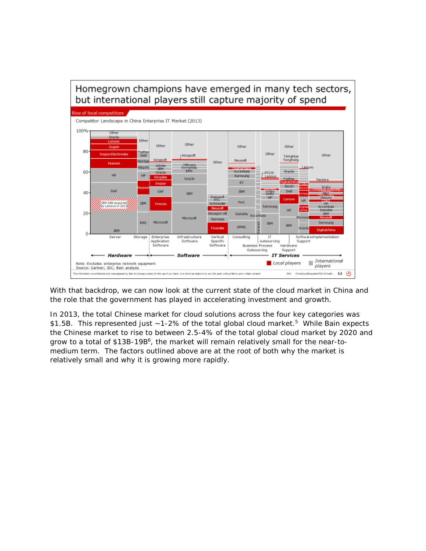

With that backdrop, we can now look at the current state of the cloud market in China and the role that the government has played in accelerating investment and growth.

In 2013, the total Chinese market for cloud solutions across the four key categories was \$1.5B. This represented just  $~1$ -2% of the total global cloud market.<sup>5</sup> While Bain expects the Chinese market to rise to between 2.5-4% of the total global cloud market by 2020 and grow to a total of \$13B-19B<sup>6</sup>, the market will remain relatively small for the near-tomedium term. The factors outlined above are at the root of both why the market is relatively small and why it is growing more rapidly.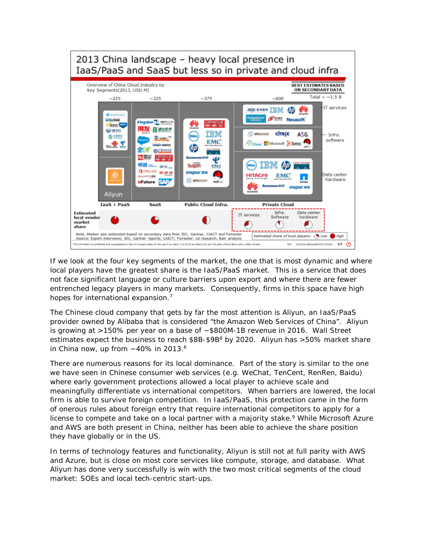

If we look at the four key segments of the market, the one that is most dynamic and where local players have the greatest share is the IaaS/PaaS market. This is a service that does not face significant language or culture barriers upon export and where there are fewer entrenched legacy players in many markets. Consequently, firms in this space have high hopes for international expansion.<sup>7</sup>

The Chinese cloud company that gets by far the most attention is Aliyun, an IaaS/PaaS provider owned by Alibaba that is considered "the Amazon Web Services of China". Aliyun is growing at >150% per year on a base of ~\$800M-1B revenue in 2016. Wall Street estimates expect the business to reach  $$8B-$9B<sup>8</sup>$  by 2020. Aliyun has >50% market share in China now, up from  $\sim$  40% in 2013.<sup>6</sup>

There are numerous reasons for its local dominance. Part of the story is similar to the one we have seen in Chinese consumer web services (e.g. WeChat, TenCent, RenRen, Baidu) where early government protections allowed a local player to achieve scale and meaningfully differentiate vs international competitors. When barriers are lowered, the local firm is able to survive foreign competition. In IaaS/PaaS, this protection came in the form of onerous rules about foreign entry that require international competitors to apply for a license to compete and take on a local partner with a majority stake.<sup>9</sup> While Microsoft Azure and AWS are both present in China, neither has been able to achieve the share position they have globally or in the US.

In terms of technology features and functionality, Aliyun is still not at full parity with AWS and Azure, but is close on most core services like compute, storage, and database. What Aliyun has done very successfully is win with the two most critical segments of the cloud market: SOEs and local tech-centric start-ups.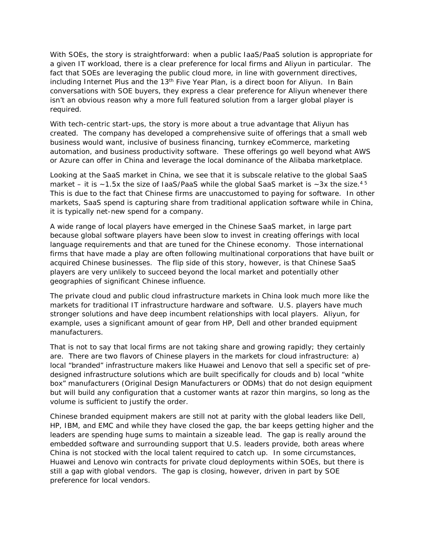With SOEs, the story is straightforward: when a public IaaS/PaaS solution is appropriate for a given IT workload, there is a clear preference for local firms and Aliyun in particular. The fact that SOEs are leveraging the public cloud more, in line with government directives, including Internet Plus and the 13<sup>th</sup> Five Year Plan, is a direct boon for Aliyun. In Bain conversations with SOE buyers, they express a clear preference for Aliyun whenever there isn't an obvious reason why a more full featured solution from a larger global player is required.

With tech-centric start-ups, the story is more about a true advantage that Aliyun has created. The company has developed a comprehensive suite of offerings that a small web business would want, inclusive of business financing, turnkey eCommerce, marketing automation, and business productivity software. These offerings go well beyond what AWS or Azure can offer in China and leverage the local dominance of the Alibaba marketplace.

Looking at the SaaS market in China, we see that it is subscale relative to the global SaaS market – it is  $\sim$ 1.5x the size of IaaS/PaaS while the global SaaS market is  $\sim$ 3x the size.<sup>45</sup> This is due to the fact that Chinese firms are unaccustomed to paying for software. In other markets, SaaS spend is capturing share from traditional application software while in China, it is typically net-new spend for a company.

A wide range of local players have emerged in the Chinese SaaS market, in large part because global software players have been slow to invest in creating offerings with local language requirements and that are tuned for the Chinese economy. Those international firms that have made a play are often following multinational corporations that have built or acquired Chinese businesses. The flip side of this story, however, is that Chinese SaaS players are very unlikely to succeed beyond the local market and potentially other geographies of significant Chinese influence.

The private cloud and public cloud infrastructure markets in China look much more like the markets for traditional IT infrastructure hardware and software. U.S. players have much stronger solutions and have deep incumbent relationships with local players. Aliyun, for example, uses a significant amount of gear from HP, Dell and other branded equipment manufacturers.

That is not to say that local firms are not taking share and growing rapidly; they certainly are. There are two flavors of Chinese players in the markets for cloud infrastructure: a) local "branded" infrastructure makers like Huawei and Lenovo that sell a specific set of predesigned infrastructure solutions which are built specifically for clouds and b) local "white box" manufacturers (Original Design Manufacturers or ODMs) that do not design equipment but will build any configuration that a customer wants at razor thin margins, so long as the volume is sufficient to justify the order.

Chinese branded equipment makers are still not at parity with the global leaders like Dell, HP, IBM, and EMC and while they have closed the gap, the bar keeps getting higher and the leaders are spending huge sums to maintain a sizeable lead. The gap is really around the embedded software and surrounding support that U.S. leaders provide, both areas where China is not stocked with the local talent required to catch up. In some circumstances, Huawei and Lenovo win contracts for private cloud deployments within SOEs, but there is still a gap with global vendors. The gap is closing, however, driven in part by SOE preference for local vendors.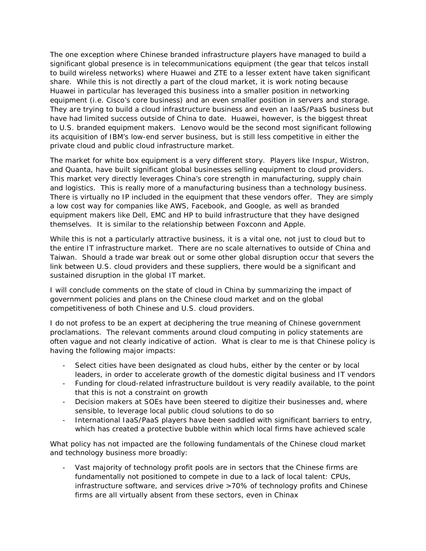The one exception where Chinese branded infrastructure players have managed to build a significant global presence is in telecommunications equipment (the gear that telcos install to build wireless networks) where Huawei and ZTE to a lesser extent have taken significant share. While this is not directly a part of the cloud market, it is work noting because Huawei in particular has leveraged this business into a smaller position in networking equipment (i.e. Cisco's core business) and an even smaller position in servers and storage. They are trying to build a cloud infrastructure business and even an IaaS/PaaS business but have had limited success outside of China to date. Huawei, however, is the biggest threat to U.S. branded equipment makers. Lenovo would be the second most significant following its acquisition of IBM's low-end server business, but is still less competitive in either the private cloud and public cloud infrastructure market.

The market for white box equipment is a very different story. Players like Inspur, Wistron, and Quanta, have built significant global businesses selling equipment to cloud providers. This market very directly leverages China's core strength in manufacturing, supply chain and logistics. This is really more of a manufacturing business than a technology business. There is virtually no IP included in the equipment that these vendors offer. They are simply a low cost way for companies like AWS, Facebook, and Google, as well as branded equipment makers like Dell, EMC and HP to build infrastructure that they have designed themselves. It is similar to the relationship between Foxconn and Apple.

While this is not a particularly attractive business, it is a vital one, not just to cloud but to the entire IT infrastructure market. There are no scale alternatives to outside of China and Taiwan. Should a trade war break out or some other global disruption occur that severs the link between U.S. cloud providers and these suppliers, there would be a significant and sustained disruption in the global IT market.

I will conclude comments on the state of cloud in China by summarizing the impact of government policies and plans on the Chinese cloud market and on the global competitiveness of both Chinese and U.S. cloud providers.

I do not profess to be an expert at deciphering the true meaning of Chinese government proclamations. The relevant comments around cloud computing in policy statements are often vague and not clearly indicative of action. What is clear to me is that Chinese policy is having the following major impacts:

- Select cities have been designated as cloud hubs, either by the center or by local leaders, in order to accelerate growth of the domestic digital business and IT vendors
- Funding for cloud-related infrastructure buildout is very readily available, to the point that this is not a constraint on growth
- Decision makers at SOEs have been steered to digitize their businesses and, where sensible, to leverage local public cloud solutions to do so
- International IaaS/PaaS players have been saddled with significant barriers to entry, which has created a protective bubble within which local firms have achieved scale

What policy has not impacted are the following fundamentals of the Chinese cloud market and technology business more broadly:

Vast majority of technology profit pools are in sectors that the Chinese firms are fundamentally not positioned to compete in due to a lack of local talent: CPUs, infrastructure software, and services drive >70% of technology profits and Chinese firms are all virtually absent from these sectors, even in Chinax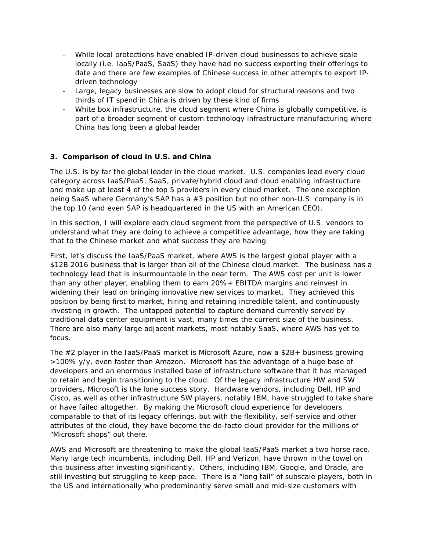- While local protections have enabled IP-driven cloud businesses to achieve scale locally (i.e. IaaS/PaaS, SaaS) they have had no success exporting their offerings to date and there are few examples of Chinese success in other attempts to export IPdriven technology
- Large, legacy businesses are slow to adopt cloud for structural reasons and two thirds of IT spend in China is driven by these kind of firms
- White box infrastructure, the cloud segment where China is globally competitive, is part of a broader segment of custom technology infrastructure manufacturing where China has long been a global leader

## **3. Comparison of cloud in U.S. and China**

The U.S. is by far the global leader in the cloud market. U.S. companies lead every cloud category across IaaS/PaaS, SaaS, private/hybrid cloud and cloud enabling infrastructure and make up at least 4 of the top 5 providers in every cloud market. The one exception being SaaS where Germany's SAP has a #3 position but no other non-U.S. company is in the top 10 (and even SAP is headquartered in the US with an American CEO).

In this section, I will explore each cloud segment from the perspective of U.S. vendors to understand what they are doing to achieve a competitive advantage, how they are taking that to the Chinese market and what success they are having.

First, let's discuss the IaaS/PaaS market, where AWS is the largest global player with a \$12B 2016 business that is larger than all of the Chinese cloud market. The business has a technology lead that is insurmountable in the near term. The AWS cost per unit is lower than any other player, enabling them to earn 20%+ EBITDA margins and reinvest in widening their lead on bringing innovative new services to market. They achieved this position by being first to market, hiring and retaining incredible talent, and continuously investing in growth. The untapped potential to capture demand currently served by traditional data center equipment is vast, many times the current size of the business. There are also many large adjacent markets, most notably SaaS, where AWS has yet to focus.

The #2 player in the IaaS/PaaS market is Microsoft Azure, now a \$2B+ business growing >100% y/y, even faster than Amazon. Microsoft has the advantage of a huge base of developers and an enormous installed base of infrastructure software that it has managed to retain and begin transitioning to the cloud. Of the legacy infrastructure HW and SW providers, Microsoft is the lone success story. Hardware vendors, including Dell, HP and Cisco, as well as other infrastructure SW players, notably IBM, have struggled to take share or have failed altogether. By making the Microsoft cloud experience for developers comparable to that of its legacy offerings, but with the flexibility, self-service and other attributes of the cloud, they have become the de-facto cloud provider for the millions of "Microsoft shops" out there.

AWS and Microsoft are threatening to make the global IaaS/PaaS market a two horse race. Many large tech incumbents, including Dell, HP and Verizon, have thrown in the towel on this business after investing significantly. Others, including IBM, Google, and Oracle, are still investing but struggling to keep pace. There is a "long tail" of subscale players, both in the US and internationally who predominantly serve small and mid-size customers with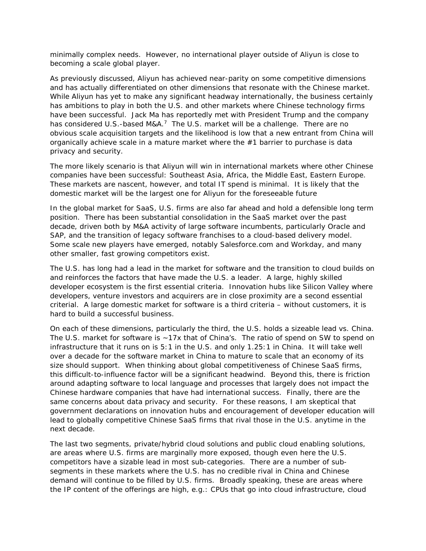minimally complex needs. However, no international player outside of Aliyun is close to becoming a scale global player.

As previously discussed, Aliyun has achieved near-parity on some competitive dimensions and has actually differentiated on other dimensions that resonate with the Chinese market. While Aliyun has yet to make any significant headway internationally, the business certainly has ambitions to play in both the U.S. and other markets where Chinese technology firms have been successful. Jack Ma has reportedly met with President Trump and the company has considered U.S.-based M&A.<sup>7</sup> The U.S. market will be a challenge. There are no obvious scale acquisition targets and the likelihood is low that a new entrant from China will organically achieve scale in a mature market where the #1 barrier to purchase is data privacy and security.

The more likely scenario is that Aliyun will win in international markets where other Chinese companies have been successful: Southeast Asia, Africa, the Middle East, Eastern Europe. These markets are nascent, however, and total IT spend is minimal. It is likely that the domestic market will be the largest one for Aliyun for the foreseeable future

In the global market for SaaS, U.S. firms are also far ahead and hold a defensible long term position. There has been substantial consolidation in the SaaS market over the past decade, driven both by M&A activity of large software incumbents, particularly Oracle and SAP, and the transition of legacy software franchises to a cloud-based delivery model. Some scale new players have emerged, notably Salesforce.com and Workday, and many other smaller, fast growing competitors exist.

The U.S. has long had a lead in the market for software and the transition to cloud builds on and reinforces the factors that have made the U.S. a leader. A large, highly skilled developer ecosystem is the first essential criteria. Innovation hubs like Silicon Valley where developers, venture investors and acquirers are in close proximity are a second essential criterial. A large domestic market for software is a third criteria – without customers, it is hard to build a successful business.

On each of these dimensions, particularly the third, the U.S. holds a sizeable lead vs. China. The U.S. market for software is  $~17x$  that of China's. The ratio of spend on SW to spend on infrastructure that it runs on is 5:1 in the U.S. and only 1.25:1 in China. It will take well over a decade for the software market in China to mature to scale that an economy of its size should support. When thinking about global competitiveness of Chinese SaaS firms, this difficult-to-influence factor will be a significant headwind. Beyond this, there is friction around adapting software to local language and processes that largely does not impact the Chinese hardware companies that have had international success. Finally, there are the same concerns about data privacy and security. For these reasons, I am skeptical that government declarations on innovation hubs and encouragement of developer education will lead to globally competitive Chinese SaaS firms that rival those in the U.S. anytime in the next decade.

The last two segments, private/hybrid cloud solutions and public cloud enabling solutions, are areas where U.S. firms are marginally more exposed, though even here the U.S. competitors have a sizable lead in most sub-categories. There are a number of subsegments in these markets where the U.S. has no credible rival in China and Chinese demand will continue to be filled by U.S. firms. Broadly speaking, these are areas where the IP content of the offerings are high, e.g.: CPUs that go into cloud infrastructure, cloud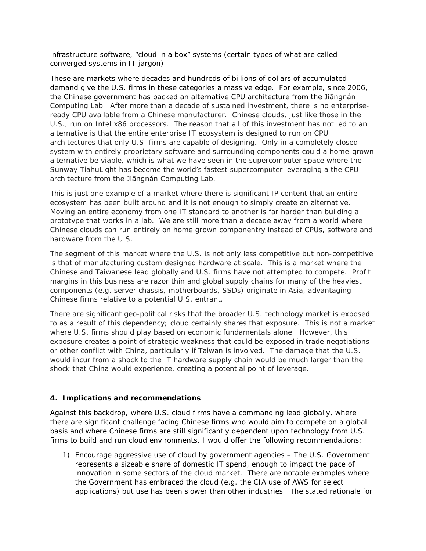infrastructure software, "cloud in a box" systems (certain types of what are called converged systems in IT jargon).

These are markets where decades and hundreds of billions of dollars of accumulated demand give the U.S. firms in these categories a massive edge. For example, since 2006, the Chinese government has backed an alternative CPU architecture from the Jiāngnán Computing Lab. After more than a decade of sustained investment, there is no enterpriseready CPU available from a Chinese manufacturer. Chinese clouds, just like those in the U.S., run on Intel x86 processors. The reason that all of this investment has not led to an alternative is that the entire enterprise IT ecosystem is designed to run on CPU architectures that only U.S. firms are capable of designing. Only in a completely closed system with entirely proprietary software and surrounding components could a home-grown alternative be viable, which is what we have seen in the supercomputer space where the Sunway TiahuLight has become the world's fastest supercomputer leveraging a the CPU architecture from the Jiāngnán Computing Lab.

This is just one example of a market where there is significant IP content that an entire ecosystem has been built around and it is not enough to simply create an alternative. Moving an entire economy from one IT standard to another is far harder than building a prototype that works in a lab. We are still more than a decade away from a world where Chinese clouds can run entirely on home grown componentry instead of CPUs, software and hardware from the U.S.

The segment of this market where the U.S. is not only less competitive but *non-*competitive is that of manufacturing custom designed hardware at scale. This is a market where the Chinese and Taiwanese lead globally and U.S. firms have not attempted to compete. Profit margins in this business are razor thin and global supply chains for many of the heaviest components (e.g. server chassis, motherboards, SSDs) originate in Asia, advantaging Chinese firms relative to a potential U.S. entrant.

There are significant geo-political risks that the broader U.S. technology market is exposed to as a result of this dependency; cloud certainly shares that exposure. This is not a market where U.S. firms should play based on economic fundamentals alone. However, this exposure creates a point of strategic weakness that could be exposed in trade negotiations or other conflict with China, particularly if Taiwan is involved. The damage that the U.S. would incur from a shock to the IT hardware supply chain would be much larger than the shock that China would experience, creating a potential point of leverage.

## **4. Implications and recommendations**

Against this backdrop, where U.S. cloud firms have a commanding lead globally, where there are significant challenge facing Chinese firms who would aim to compete on a global basis and where Chinese firms are still significantly dependent upon technology from U.S. firms to build and run cloud environments, I would offer the following recommendations:

1) Encourage aggressive use of cloud by government agencies – The U.S. Government represents a sizeable share of domestic IT spend, enough to impact the pace of innovation in some sectors of the cloud market. There are notable examples where the Government has embraced the cloud (e.g. the CIA use of AWS for select applications) but use has been slower than other industries. The stated rationale for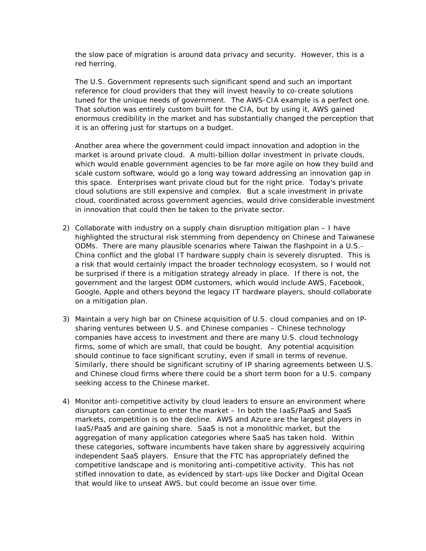the slow pace of migration is around data privacy and security. However, this is a red herring.

The U.S. Government represents such significant spend and such an important reference for cloud providers that they will invest heavily to co-create solutions tuned for the unique needs of government. The AWS-CIA example is a perfect one. That solution was entirely custom built for the CIA, but by using it, AWS gained enormous credibility in the market and has substantially changed the perception that it is an offering just for startups on a budget.

Another area where the government could impact innovation and adoption in the market is around private cloud. A multi-billion dollar investment in private clouds, which would enable government agencies to be far more agile on how they build and scale custom software, would go a long way toward addressing an innovation gap in this space. Enterprises want private cloud but for the right price. Today's private cloud solutions are still expensive and complex. But a scale investment in private cloud, coordinated across government agencies, would drive considerable investment in innovation that could then be taken to the private sector.

- 2) Collaborate with industry on a supply chain disruption mitigation plan I have highlighted the structural risk stemming from dependency on Chinese and Taiwanese ODMs. There are many plausible scenarios where Taiwan the flashpoint in a U.S.- China conflict and the global IT hardware supply chain is severely disrupted. This is a risk that would certainly impact the broader technology ecosystem, so I would not be surprised if there is a mitigation strategy already in place. If there is not, the government and the largest ODM customers, which would include AWS, Facebook, Google, Apple and others beyond the legacy IT hardware players, should collaborate on a mitigation plan.
- 3) Maintain a very high bar on Chinese acquisition of U.S. cloud companies and on IPsharing ventures between U.S. and Chinese companies – Chinese technology companies have access to investment and there are many U.S. cloud technology firms, some of which are small, that could be bought. Any potential acquisition should continue to face significant scrutiny, even if small in terms of revenue. Similarly, there should be significant scrutiny of IP sharing agreements between U.S. and Chinese cloud firms where there could be a short term boon for a U.S. company seeking access to the Chinese market.
- 4) Monitor anti-competitive activity by cloud leaders to ensure an environment where disruptors can continue to enter the market – In both the IaaS/PaaS and SaaS markets, competition is on the decline. AWS and Azure are the largest players in IaaS/PaaS and are gaining share. SaaS is not a monolithic market, but the aggregation of many application categories where SaaS has taken hold. Within these categories, software incumbents have taken share by aggressively acquiring independent SaaS players. Ensure that the FTC has appropriately defined the competitive landscape and is monitoring anti-competitive activity. This has not stifled innovation to date, as evidenced by start-ups like Docker and Digital Ocean that would like to unseat AWS, but could become an issue over time.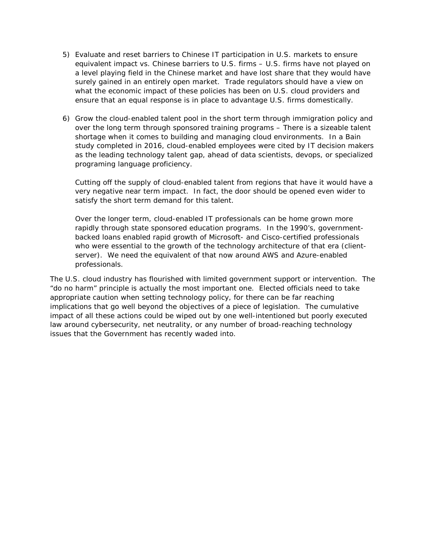- 5) Evaluate and reset barriers to Chinese IT participation in U.S. markets to ensure equivalent impact vs. Chinese barriers to U.S. firms – U.S. firms have not played on a level playing field in the Chinese market and have lost share that they would have surely gained in an entirely open market. Trade regulators should have a view on what the economic impact of these policies has been on U.S. cloud providers and ensure that an equal response is in place to advantage U.S. firms domestically.
- 6) Grow the cloud-enabled talent pool in the short term through immigration policy and over the long term through sponsored training programs – There is a sizeable talent shortage when it comes to building and managing cloud environments. In a Bain study completed in 2016, cloud-enabled employees were cited by IT decision makers as the leading technology talent gap, ahead of data scientists, devops, or specialized programing language proficiency.

Cutting off the supply of cloud-enabled talent from regions that have it would have a very negative near term impact. In fact, the door should be opened even wider to satisfy the short term demand for this talent.

Over the longer term, cloud-enabled IT professionals can be home grown more rapidly through state sponsored education programs. In the 1990's, governmentbacked loans enabled rapid growth of Microsoft- and Cisco-certified professionals who were essential to the growth of the technology architecture of that era (clientserver). We need the equivalent of that now around AWS and Azure-enabled professionals.

The U.S. cloud industry has flourished with limited government support or intervention. The "do no harm" principle is actually the most important one. Elected officials need to take appropriate caution when setting technology policy, for there can be far reaching implications that go well beyond the objectives of a piece of legislation. The cumulative impact of all these actions could be wiped out by one well-intentioned but poorly executed law around cybersecurity, net neutrality, or any number of broad-reaching technology issues that the Government has recently waded into.